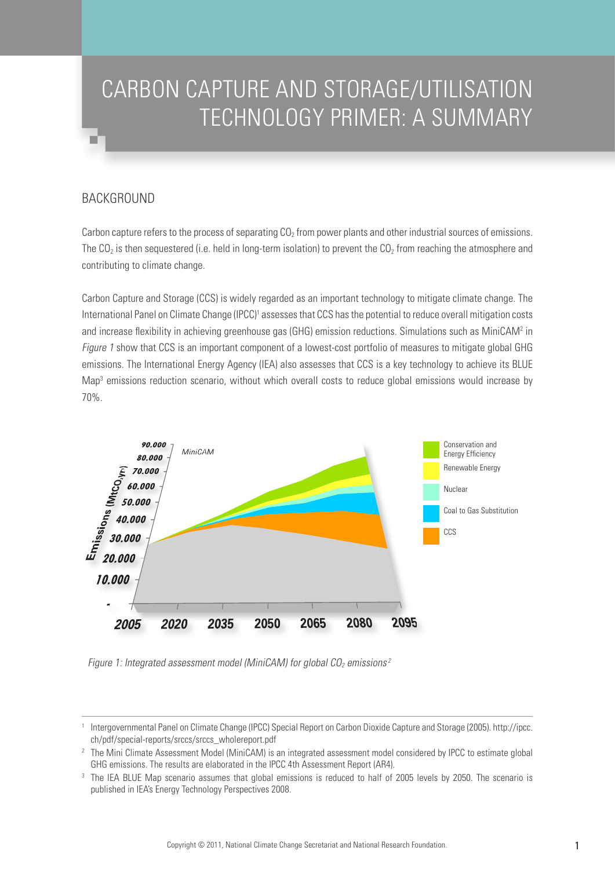# CARBON CAPTURE AND STORAGE/UTILISATION TECHNOLOGY PRIMER: A SUMMARY

# **BACKGROUND**

Carbon capture refers to the process of separating  $CO<sub>2</sub>$  from power plants and other industrial sources of emissions. The  $CO<sub>2</sub>$  is then sequestered (i.e. held in long-term isolation) to prevent the  $CO<sub>2</sub>$  from reaching the atmosphere and contributing to climate change.

Carbon Capture and Storage (CCS) is widely regarded as an important technology to mitigate climate change. The International Panel on Climate Change (IPCC)<sup>1</sup> assesses that CCS has the potential to reduce overall mitigation costs and increase flexibility in achieving greenhouse gas (GHG) emission reductions. Simulations such as MiniCAM<sup>2</sup> in Figure 1 show that CCS is an important component of a lowest-cost portfolio of measures to mitigate global GHG emissions. The International Energy Agency (IEA) also assesses that CCS is a key technology to achieve its BLUE Map<sup>3</sup> emissions reduction scenario, without which overall costs to reduce global emissions would increase by 70%.



Figure 1: Integrated assessment model (MiniCAM) for global  $CO<sub>2</sub>$  emissions<sup>2</sup>

<sup>1</sup> Intergovernmental Panel on Climate Change (IPCC) Special Report on Carbon Dioxide Capture and Storage (2005). http://ipcc. ch/pdf/special-reports/srccs/srccs\_wholereport.pdf

<sup>&</sup>lt;sup>2</sup> The Mini Climate Assessment Model (MiniCAM) is an integrated assessment model considered by IPCC to estimate global GHG emissions. The results are elaborated in the IPCC 4th Assessment Report (AR4).

<sup>&</sup>lt;sup>3</sup> The IEA BLUE Map scenario assumes that global emissions is reduced to half of 2005 levels by 2050. The scenario is published in IEA's Energy Technology Perspectives 2008.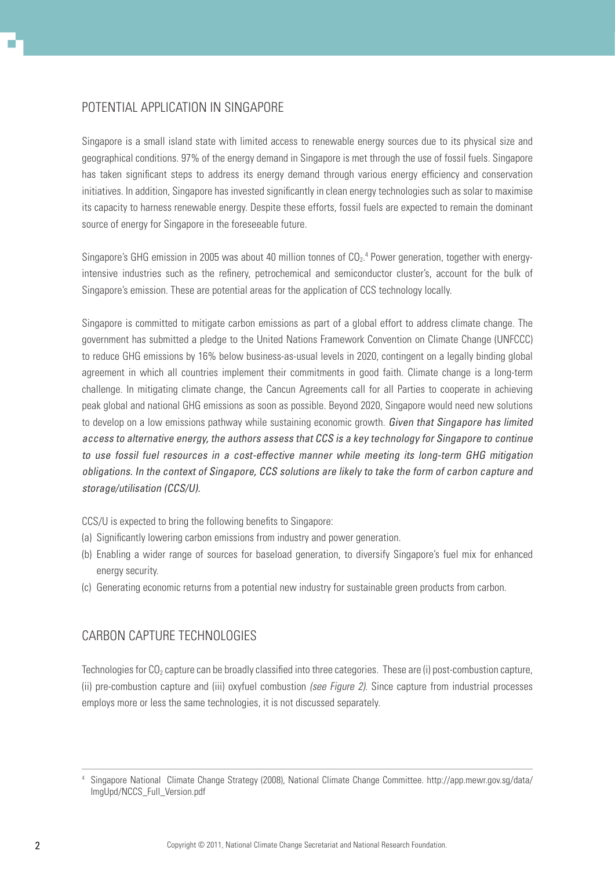## Potential Application in Singapore

Singapore is a small island state with limited access to renewable energy sources due to its physical size and geographical conditions. 97% of the energy demand in Singapore is met through the use of fossil fuels. Singapore has taken significant steps to address its energy demand through various energy efficiency and conservation initiatives. In addition, Singapore has invested significantly in clean energy technologies such as solar to maximise its capacity to harness renewable energy. Despite these efforts, fossil fuels are expected to remain the dominant source of energy for Singapore in the foreseeable future.

Singapore's GHG emission in 2005 was about 40 million tonnes of  $CO<sub>2</sub>$ <sup>4</sup> Power generation, together with energyintensive industries such as the refinery, petrochemical and semiconductor cluster's, account for the bulk of Singapore's emission. These are potential areas for the application of CCS technology locally.

Singapore is committed to mitigate carbon emissions as part of a global effort to address climate change. The government has submitted a pledge to the United Nations Framework Convention on Climate Change (UNFCCC) to reduce GHG emissions by 16% below business-as-usual levels in 2020, contingent on a legally binding global agreement in which all countries implement their commitments in good faith. Climate change is a long-term challenge. In mitigating climate change, the Cancun Agreements call for all Parties to cooperate in achieving peak global and national GHG emissions as soon as possible. Beyond 2020, Singapore would need new solutions to develop on a low emissions pathway while sustaining economic growth. Given that Singapore has limited access to alternative energy, the authors assess that CCS is a key technology for Singapore to continue to use fossil fuel resources in a cost-effective manner while meeting its long-term GHG mitigation obligations. In the context of Singapore, CCS solutions are likely to take the form of carbon capture and storage/utilisation (CCS/U).

CCS/U is expected to bring the following benefits to Singapore:

- (a) Significantly lowering carbon emissions from industry and power generation.
- (b) Enabling a wider range of sources for baseload generation, to diversify Singapore's fuel mix for enhanced energy security.
- (c) Generating economic returns from a potential new industry for sustainable green products from carbon.

## Carbon Capture Technologies

Technologies for  $CO_2$  capture can be broadly classified into three categories. These are (i) post-combustion capture, (ii) pre-combustion capture and (iii) oxyfuel combustion (see Figure 2). Since capture from industrial processes employs more or less the same technologies, it is not discussed separately.

<sup>4</sup> Singapore National Climate Change Strategy (2008), National Climate Change Committee. http://app.mewr.gov.sg/data/ ImgUpd/NCCS\_Full\_Version.pdf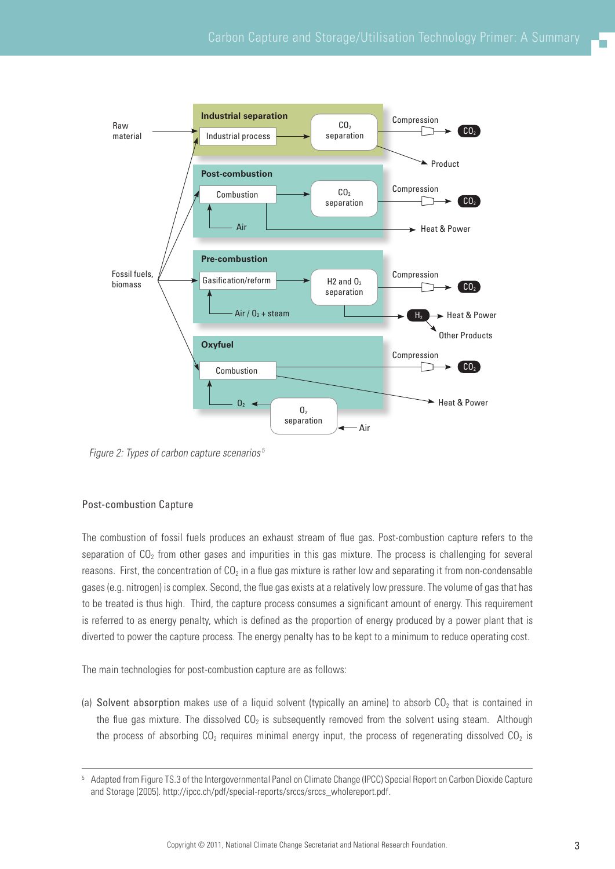

Figure 2: Types of carbon capture scenarios<sup>5</sup>

## Post-combustion Capture

The combustion of fossil fuels produces an exhaust stream of flue gas. Post-combustion capture refers to the separation of  $CO<sub>2</sub>$  from other gases and impurities in this gas mixture. The process is challenging for several reasons. First, the concentration of  $CO<sub>2</sub>$  in a flue gas mixture is rather low and separating it from non-condensable gases (e.g. nitrogen) is complex. Second, the flue gas exists at a relatively low pressure. The volume of gas that has to be treated is thus high. Third, the capture process consumes a significant amount of energy. This requirement is referred to as energy penalty, which is defined as the proportion of energy produced by a power plant that is diverted to power the capture process. The energy penalty has to be kept to a minimum to reduce operating cost.

The main technologies for post-combustion capture are as follows:

(a) Solvent absorption makes use of a liquid solvent (typically an amine) to absorb  $CO<sub>2</sub>$  that is contained in the flue gas mixture. The dissolved  $CO<sub>2</sub>$  is subsequently removed from the solvent using steam. Although the process of absorbing  $CO<sub>2</sub>$  requires minimal energy input, the process of regenerating dissolved  $CO<sub>2</sub>$  is

<sup>5</sup> Adapted from Figure TS.3 of the Intergovernmental Panel on Climate Change (IPCC) Special Report on Carbon Dioxide Capture and Storage (2005). http://ipcc.ch/pdf/special-reports/srccs/srccs\_wholereport.pdf.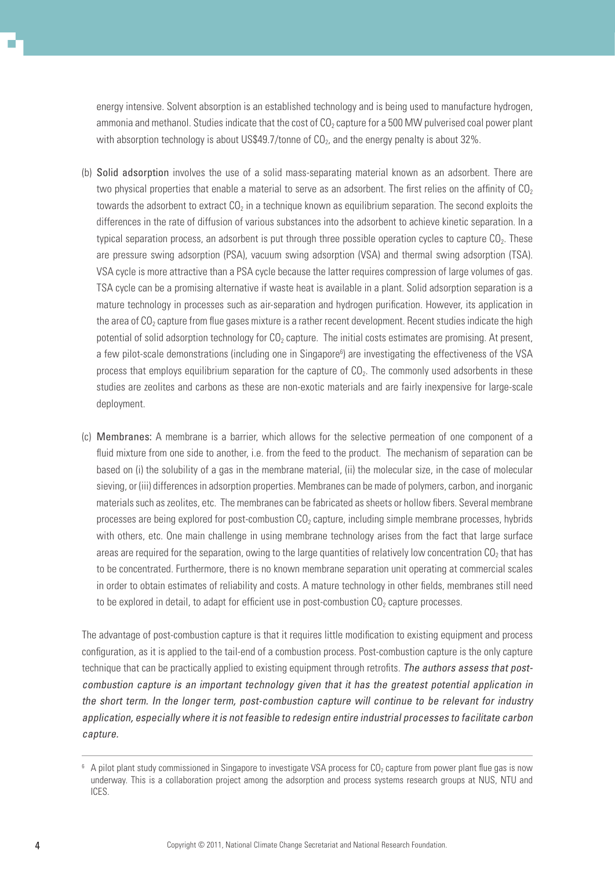energy intensive. Solvent absorption is an established technology and is being used to manufacture hydrogen, ammonia and methanol. Studies indicate that the cost of  $CO<sub>2</sub>$  capture for a 500 MW pulverised coal power plant with absorption technology is about US\$49.7/tonne of  $CO<sub>2</sub>$ , and the energy penalty is about 32%.

- (b) Solid adsorption involves the use of a solid mass-separating material known as an adsorbent. There are two physical properties that enable a material to serve as an adsorbent. The first relies on the affinity of  $CO<sub>2</sub>$ towards the adsorbent to extract  $CO<sub>2</sub>$  in a technique known as equilibrium separation. The second exploits the differences in the rate of diffusion of various substances into the adsorbent to achieve kinetic separation. In a typical separation process, an adsorbent is put through three possible operation cycles to capture CO<sub>2</sub>. These are pressure swing adsorption (PSA), vacuum swing adsorption (VSA) and thermal swing adsorption (TSA). VSA cycle is more attractive than a PSA cycle because the latter requires compression of large volumes of gas. TSA cycle can be a promising alternative if waste heat is available in a plant. Solid adsorption separation is a mature technology in processes such as air-separation and hydrogen purification. However, its application in the area of  $CO<sub>2</sub>$  capture from flue gases mixture is a rather recent development. Recent studies indicate the high potential of solid adsorption technology for  $CO<sub>2</sub>$  capture. The initial costs estimates are promising. At present, a few pilot-scale demonstrations (including one in Singapore<sup>6</sup>) are investigating the effectiveness of the VSA process that employs equilibrium separation for the capture of CO2. The commonly used adsorbents in these studies are zeolites and carbons as these are non-exotic materials and are fairly inexpensive for large-scale deployment.
- (c) Membranes: A membrane is a barrier, which allows for the selective permeation of one component of a fluid mixture from one side to another, i.e. from the feed to the product. The mechanism of separation can be based on (i) the solubility of a gas in the membrane material, (ii) the molecular size, in the case of molecular sieving, or (iii) differences in adsorption properties. Membranes can be made of polymers, carbon, and inorganic materials such as zeolites, etc. The membranes can be fabricated as sheets or hollow fibers. Several membrane processes are being explored for post-combustion CO<sub>2</sub> capture, including simple membrane processes, hybrids with others, etc. One main challenge in using membrane technology arises from the fact that large surface areas are required for the separation, owing to the large quantities of relatively low concentration  $CO<sub>2</sub>$  that has to be concentrated. Furthermore, there is no known membrane separation unit operating at commercial scales in order to obtain estimates of reliability and costs. A mature technology in other fields, membranes still need to be explored in detail, to adapt for efficient use in post-combustion  $CO<sub>2</sub>$  capture processes.

The advantage of post-combustion capture is that it requires little modification to existing equipment and process configuration, as it is applied to the tail-end of a combustion process. Post-combustion capture is the only capture technique that can be practically applied to existing equipment through retrofits. The authors assess that postcombustion capture is an important technology given that it has the greatest potential application in the short term. In the longer term, post-combustion capture will continue to be relevant for industry application, especially where it is not feasible to redesign entire industrial processes to facilitate carbon capture.

 $^6$  A pilot plant study commissioned in Singapore to investigate VSA process for CO<sub>2</sub> capture from power plant flue gas is now underway. This is a collaboration project among the adsorption and process systems research groups at NUS, NTU and ICES.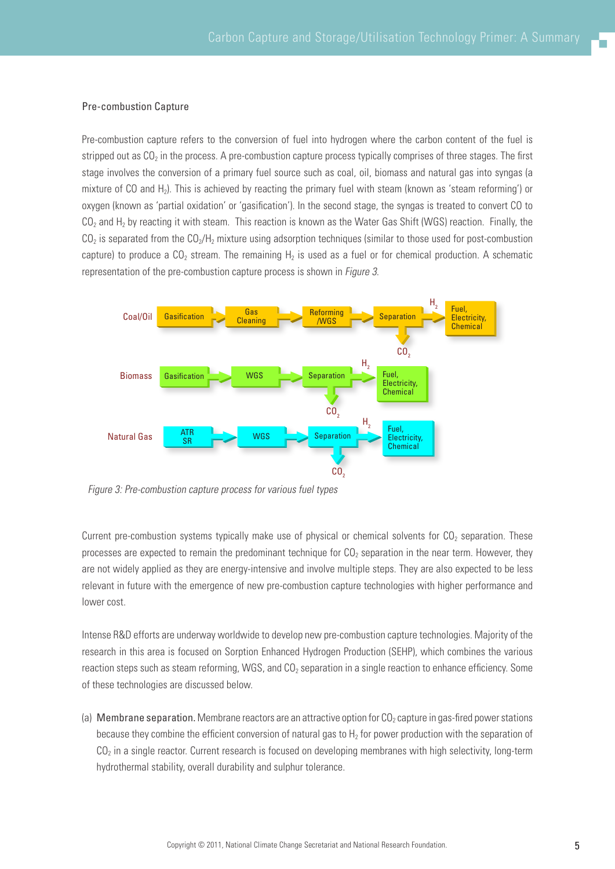#### Pre-combustion Capture

Pre-combustion capture refers to the conversion of fuel into hydrogen where the carbon content of the fuel is stripped out as CO<sub>2</sub> in the process. A pre-combustion capture process typically comprises of three stages. The first stage involves the conversion of a primary fuel source such as coal, oil, biomass and natural gas into syngas (a mixture of CO and H<sub>2</sub>). This is achieved by reacting the primary fuel with steam (known as 'steam reforming') or oxygen (known as 'partial oxidation' or 'gasification'). In the second stage, the syngas is treated to convert CO to  $CO<sub>2</sub>$  and H<sub>2</sub> by reacting it with steam. This reaction is known as the Water Gas Shift (WGS) reaction. Finally, the  $CO<sub>2</sub>$  is separated from the  $CO<sub>2</sub>/H<sub>2</sub>$  mixture using adsorption techniques (similar to those used for post-combustion capture) to produce a  $CO<sub>2</sub>$  stream. The remaining H<sub>2</sub> is used as a fuel or for chemical production. A schematic representation of the pre-combustion capture process is shown in Figure 3.



Figure 3: Pre-combustion capture process for various fuel types

Current pre-combustion systems typically make use of physical or chemical solvents for  $CO<sub>2</sub>$  separation. These processes are expected to remain the predominant technique for  $CO<sub>2</sub>$  separation in the near term. However, they are not widely applied as they are energy-intensive and involve multiple steps. They are also expected to be less relevant in future with the emergence of new pre-combustion capture technologies with higher performance and lower cost.

Intense R&D efforts are underway worldwide to develop new pre-combustion capture technologies. Majority of the research in this area is focused on Sorption Enhanced Hydrogen Production (SEHP), which combines the various reaction steps such as steam reforming, WGS, and  $CO<sub>2</sub>$  separation in a single reaction to enhance efficiency. Some of these technologies are discussed below.

(a) Membrane separation. Membrane reactors are an attractive option for  $CO<sub>2</sub>$  capture in gas-fired power stations because they combine the efficient conversion of natural gas to  $H_2$  for power production with the separation of  $CO<sub>2</sub>$  in a single reactor. Current research is focused on developing membranes with high selectivity, long-term hydrothermal stability, overall durability and sulphur tolerance.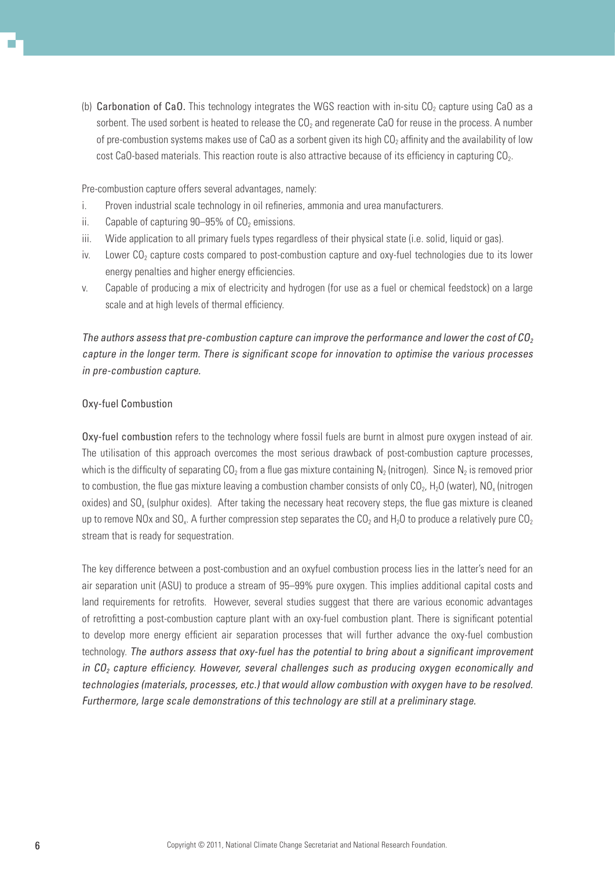(b) Carbonation of CaO. This technology integrates the WGS reaction with in-situ CO<sub>2</sub> capture using CaO as a sorbent. The used sorbent is heated to release the  $CO<sub>2</sub>$  and regenerate CaO for reuse in the process. A number of pre-combustion systems makes use of CaO as a sorbent given its high  $CO<sub>2</sub>$  affinity and the availability of low cost CaO-based materials. This reaction route is also attractive because of its efficiency in capturing  $CO<sub>2</sub>$ .

Pre-combustion capture offers several advantages, namely:

- i. Proven industrial scale technology in oil refineries, ammonia and urea manufacturers.
- ii. Capable of capturing  $90-95\%$  of  $CO<sub>2</sub>$  emissions.
- iii. Wide application to all primary fuels types regardless of their physical state (i.e. solid, liquid or gas).
- iv. Lower  $CO<sub>2</sub>$  capture costs compared to post-combustion capture and oxy-fuel technologies due to its lower energy penalties and higher energy efficiencies.
- v. Capable of producing a mix of electricity and hydrogen (for use as a fuel or chemical feedstock) on a large scale and at high levels of thermal efficiency.

The authors assess that pre-combustion capture can improve the performance and lower the cost of  $CO<sub>2</sub>$ capture in the longer term. There is significant scope for innovation to optimise the various processes in pre-combustion capture.

#### Oxy-fuel Combustion

Oxy-fuel combustion refers to the technology where fossil fuels are burnt in almost pure oxygen instead of air. The utilisation of this approach overcomes the most serious drawback of post-combustion capture processes, which is the difficulty of separating  $CO<sub>2</sub>$  from a flue gas mixture containing N<sub>2</sub> (nitrogen). Since N<sub>2</sub> is removed prior to combustion, the flue gas mixture leaving a combustion chamber consists of only  $CO<sub>2</sub>$ , H<sub>2</sub>O (water), NO<sub>x</sub> (nitrogen oxides) and  $SO<sub>x</sub>$  (sulphur oxides). After taking the necessary heat recovery steps, the flue gas mixture is cleaned up to remove NOx and SO<sub>x</sub>. A further compression step separates the CO<sub>2</sub> and H<sub>2</sub>O to produce a relatively pure CO<sub>2</sub> stream that is ready for sequestration.

The key difference between a post-combustion and an oxyfuel combustion process lies in the latter's need for an air separation unit (ASU) to produce a stream of 95–99% pure oxygen. This implies additional capital costs and land requirements for retrofits. However, several studies suggest that there are various economic advantages of retrofitting a post-combustion capture plant with an oxy-fuel combustion plant. There is significant potential to develop more energy efficient air separation processes that will further advance the oxy-fuel combustion technology. The authors assess that oxy-fuel has the potential to bring about a significant improvement in  $CO<sub>2</sub>$  capture efficiency. However, several challenges such as producing oxygen economically and technologies (materials, processes, etc.) that would allow combustion with oxygen have to be resolved. Furthermore, large scale demonstrations of this technology are still at a preliminary stage.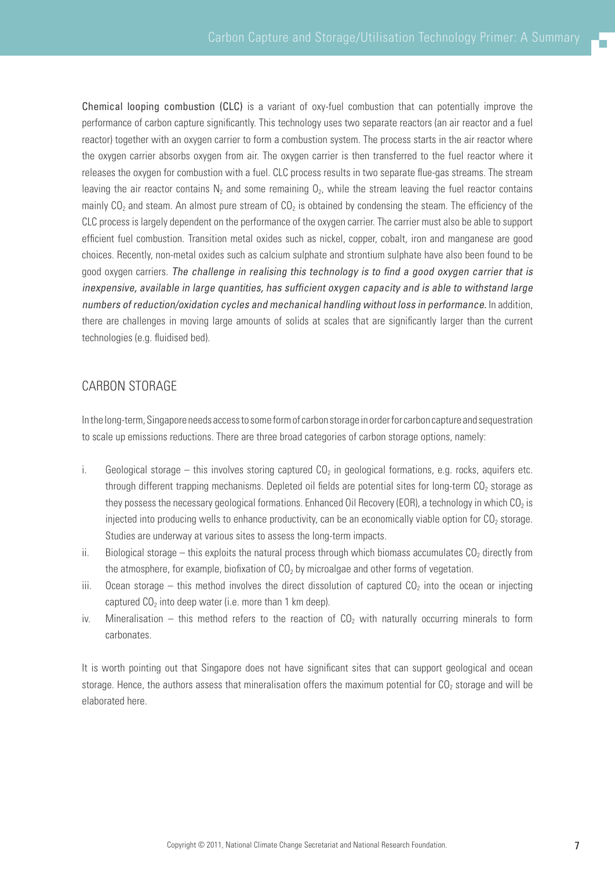Chemical looping combustion (CLC) is a variant of oxy-fuel combustion that can potentially improve the performance of carbon capture significantly. This technology uses two separate reactors (an air reactor and a fuel reactor) together with an oxygen carrier to form a combustion system. The process starts in the air reactor where the oxygen carrier absorbs oxygen from air. The oxygen carrier is then transferred to the fuel reactor where it releases the oxygen for combustion with a fuel. CLC process results in two separate flue-gas streams. The stream leaving the air reactor contains  $N_2$  and some remaining  $0_2$ , while the stream leaving the fuel reactor contains mainly  $CO<sub>2</sub>$  and steam. An almost pure stream of  $CO<sub>2</sub>$  is obtained by condensing the steam. The efficiency of the CLC process is largely dependent on the performance of the oxygen carrier. The carrier must also be able to support efficient fuel combustion. Transition metal oxides such as nickel, copper, cobalt, iron and manganese are good choices. Recently, non-metal oxides such as calcium sulphate and strontium sulphate have also been found to be good oxygen carriers. The challenge in realising this technology is to find a good oxygen carrier that is inexpensive, available in large quantities, has sufficient oxygen capacity and is able to withstand large numbers of reduction/oxidation cycles and mechanical handling without loss in performance. In addition, there are challenges in moving large amounts of solids at scales that are significantly larger than the current technologies (e.g. fluidised bed).

## CARBON STORAGE

In the long-term, Singapore needs access to some form of carbon storage in order for carbon capture and sequestration to scale up emissions reductions. There are three broad categories of carbon storage options, namely:

- i. Geological storage this involves storing captured  $CO<sub>2</sub>$  in geological formations, e.g. rocks, aquifers etc. through different trapping mechanisms. Depleted oil fields are potential sites for long-term  $CO<sub>2</sub>$  storage as they possess the necessary geological formations. Enhanced Oil Recovery (EOR), a technology in which  $CO<sub>2</sub>$  is injected into producing wells to enhance productivity, can be an economically viable option for  $CO<sub>2</sub>$  storage. Studies are underway at various sites to assess the long-term impacts.
- ii. Biological storage this exploits the natural process through which biomass accumulates  $CO<sub>2</sub>$  directly from the atmosphere, for example, biofixation of  $CO<sub>2</sub>$  by microalgae and other forms of vegetation.
- iii. Ocean storage this method involves the direct dissolution of captured  $CO<sub>2</sub>$  into the ocean or injecting captured  $CO<sub>2</sub>$  into deep water (i.e. more than 1 km deep).
- iv. Mineralisation this method refers to the reaction of  $CO<sub>2</sub>$  with naturally occurring minerals to form carbonates.

It is worth pointing out that Singapore does not have significant sites that can support geological and ocean storage. Hence, the authors assess that mineralisation offers the maximum potential for  $CO<sub>2</sub>$  storage and will be elaborated here.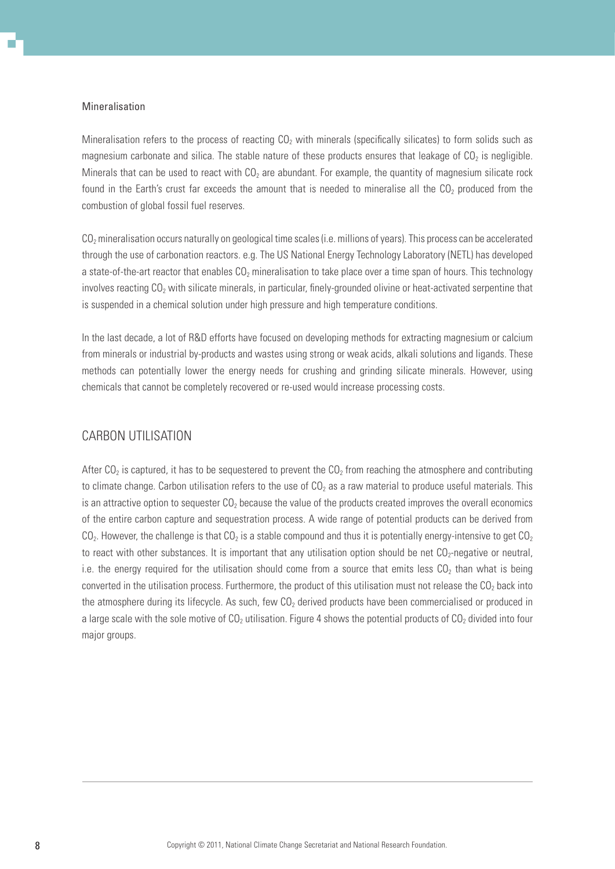#### Mineralisation

Mineralisation refers to the process of reacting  $CO<sub>2</sub>$  with minerals (specifically silicates) to form solids such as magnesium carbonate and silica. The stable nature of these products ensures that leakage of  $CO<sub>2</sub>$  is negligible. Minerals that can be used to react with  $CO<sub>2</sub>$  are abundant. For example, the quantity of magnesium silicate rock found in the Earth's crust far exceeds the amount that is needed to mineralise all the  $CO<sub>2</sub>$  produced from the combustion of global fossil fuel reserves.

 $CO<sub>2</sub>$  mineralisation occurs naturally on geological time scales (i.e. millions of years). This process can be accelerated through the use of carbonation reactors. e.g. The US National Energy Technology Laboratory (NETL) has developed a state-of-the-art reactor that enables CO<sub>2</sub> mineralisation to take place over a time span of hours. This technology involves reacting  $CO<sub>2</sub>$  with silicate minerals, in particular, finely-grounded olivine or heat-activated serpentine that is suspended in a chemical solution under high pressure and high temperature conditions.

In the last decade, a lot of R&D efforts have focused on developing methods for extracting magnesium or calcium from minerals or industrial by-products and wastes using strong or weak acids, alkali solutions and ligands. These methods can potentially lower the energy needs for crushing and grinding silicate minerals. However, using chemicals that cannot be completely recovered or re-used would increase processing costs.

## CARBON UTILISATION

After CO<sub>2</sub> is captured, it has to be sequestered to prevent the CO<sub>2</sub> from reaching the atmosphere and contributing to climate change. Carbon utilisation refers to the use of  $CO<sub>2</sub>$  as a raw material to produce useful materials. This is an attractive option to sequester  $CO<sub>2</sub>$  because the value of the products created improves the overall economics of the entire carbon capture and sequestration process. A wide range of potential products can be derived from  $CO<sub>2</sub>$ . However, the challenge is that  $CO<sub>2</sub>$  is a stable compound and thus it is potentially energy-intensive to get  $CO<sub>2</sub>$ to react with other substances. It is important that any utilisation option should be net  $CO<sub>2</sub>$ -negative or neutral, i.e. the energy required for the utilisation should come from a source that emits less  $CO<sub>2</sub>$  than what is being converted in the utilisation process. Furthermore, the product of this utilisation must not release the  $CO<sub>2</sub>$  back into the atmosphere during its lifecycle. As such, few  $CO<sub>2</sub>$  derived products have been commercialised or produced in a large scale with the sole motive of  $CO<sub>2</sub>$  utilisation. Figure 4 shows the potential products of  $CO<sub>2</sub>$  divided into four major groups.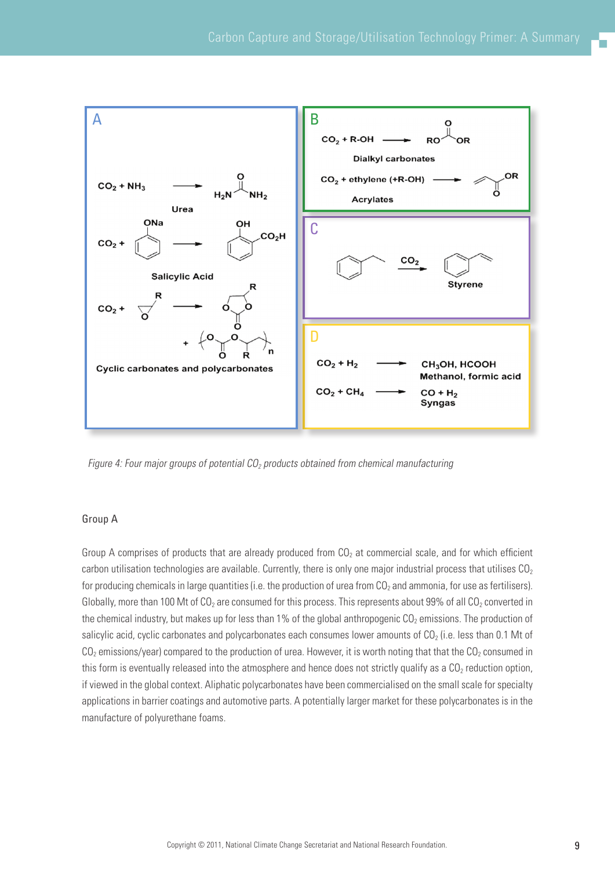

Figure 4: Four major groups of potential  $CO<sub>2</sub>$  products obtained from chemical manufacturing

#### Group A

Group A comprises of products that are already produced from  $CO<sub>2</sub>$  at commercial scale, and for which efficient carbon utilisation technologies are available. Currently, there is only one major industrial process that utilises  $CO<sub>2</sub>$ for producing chemicals in large quantities (i.e. the production of urea from  $CO<sub>2</sub>$  and ammonia, for use as fertilisers). Globally, more than 100 Mt of  $CO<sub>2</sub>$  are consumed for this process. This represents about 99% of all  $CO<sub>2</sub>$  converted in the chemical industry, but makes up for less than 1% of the global anthropogenic  $CO<sub>2</sub>$  emissions. The production of salicylic acid, cyclic carbonates and polycarbonates each consumes lower amounts of  $CO<sub>2</sub>$  (i.e. less than 0.1 Mt of  $CO<sub>2</sub>$  emissions/year) compared to the production of urea. However, it is worth noting that that the  $CO<sub>2</sub>$  consumed in this form is eventually released into the atmosphere and hence does not strictly qualify as a  $CO<sub>2</sub>$  reduction option, if viewed in the global context. Aliphatic polycarbonates have been commercialised on the small scale for specialty applications in barrier coatings and automotive parts. A potentially larger market for these polycarbonates is in the manufacture of polyurethane foams.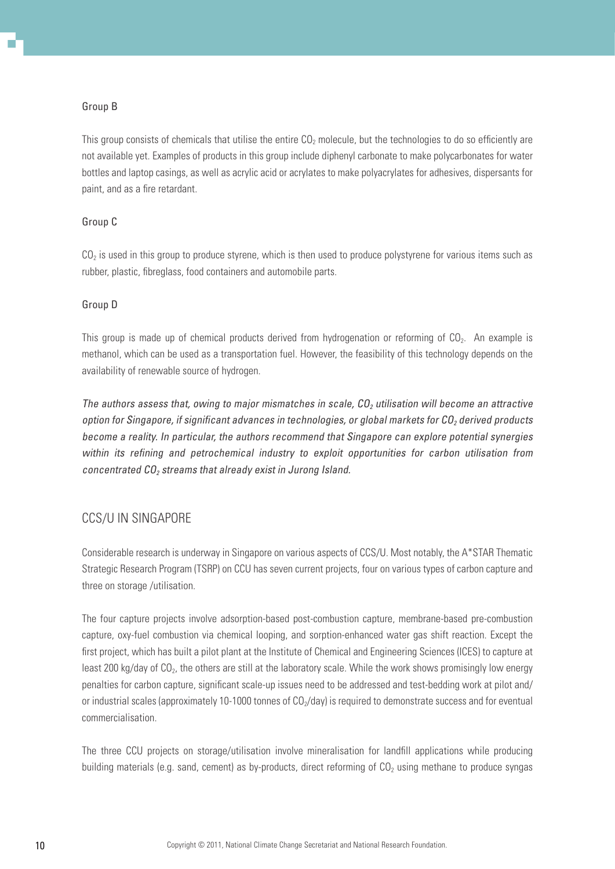#### Group B

This group consists of chemicals that utilise the entire  $CO<sub>2</sub>$  molecule, but the technologies to do so efficiently are not available yet. Examples of products in this group include diphenyl carbonate to make polycarbonates for water bottles and laptop casings, as well as acrylic acid or acrylates to make polyacrylates for adhesives, dispersants for paint, and as a fire retardant.

## Group C

 $CO<sub>2</sub>$  is used in this group to produce styrene, which is then used to produce polystyrene for various items such as rubber, plastic, fibreglass, food containers and automobile parts.

## Group D

This group is made up of chemical products derived from hydrogenation or reforming of  $CO<sub>2</sub>$ . An example is methanol, which can be used as a transportation fuel. However, the feasibility of this technology depends on the availability of renewable source of hydrogen.

The authors assess that, owing to major mismatches in scale,  $CO<sub>2</sub>$  utilisation will become an attractive option for Singapore, if significant advances in technologies, or global markets for  $CO<sub>2</sub>$  derived products become a reality. In particular, the authors recommend that Singapore can explore potential synergies within its refining and petrochemical industry to exploit opportunities for carbon utilisation from concentrated  $CO<sub>2</sub>$  streams that already exist in Jurong Island.

## CCS/U in Singapore

Considerable research is underway in Singapore on various aspects of CCS/U. Most notably, the A\*STAR Thematic Strategic Research Program (TSRP) on CCU has seven current projects, four on various types of carbon capture and three on storage /utilisation.

The four capture projects involve adsorption-based post-combustion capture, membrane-based pre-combustion capture, oxy-fuel combustion via chemical looping, and sorption-enhanced water gas shift reaction. Except the first project, which has built a pilot plant at the Institute of Chemical and Engineering Sciences (ICES) to capture at least 200 kg/day of CO<sub>2</sub>, the others are still at the laboratory scale. While the work shows promisingly low energy penalties for carbon capture, significant scale-up issues need to be addressed and test-bedding work at pilot and/ or industrial scales (approximately 10-1000 tonnes of  $CO<sub>2</sub>/day$ ) is required to demonstrate success and for eventual commercialisation.

The three CCU projects on storage/utilisation involve mineralisation for landfill applications while producing building materials (e.g. sand, cement) as by-products, direct reforming of  $CO<sub>2</sub>$  using methane to produce syngas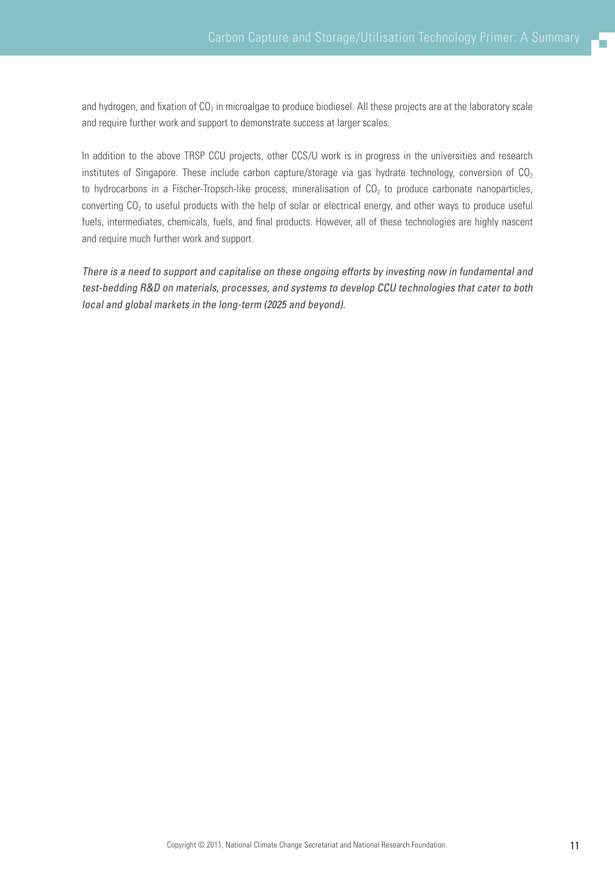and hydrogen, and fixation of  $CO<sub>2</sub>$  in microalgae to produce biodiesel. All these projects are at the laboratory scale and require further work and support to demonstrate success at larger scales.

In addition to the above TRSP CCU projects, other CCS/U work is in progress in the universities and research institutes of Singapore. These include carbon capture/storage via gas hydrate technology, conversion of  $CO<sub>2</sub>$ to hydrocarbons in a Fischer-Tropsch-like process, mineralisation of  $CO<sub>2</sub>$  to produce carbonate nanoparticles, converting  $CO<sub>2</sub>$  to useful products with the help of solar or electrical energy, and other ways to produce useful fuels, intermediates, chemicals, fuels, and final products. However, all of these technologies are highly nascent and require much further work and support.

There is a need to support and capitalise on these ongoing efforts by investing now in fundamental and test-bedding R&D on materials, processes, and systems to develop CCU technologies that cater to both local and global markets in the long-term (2025 and beyond).